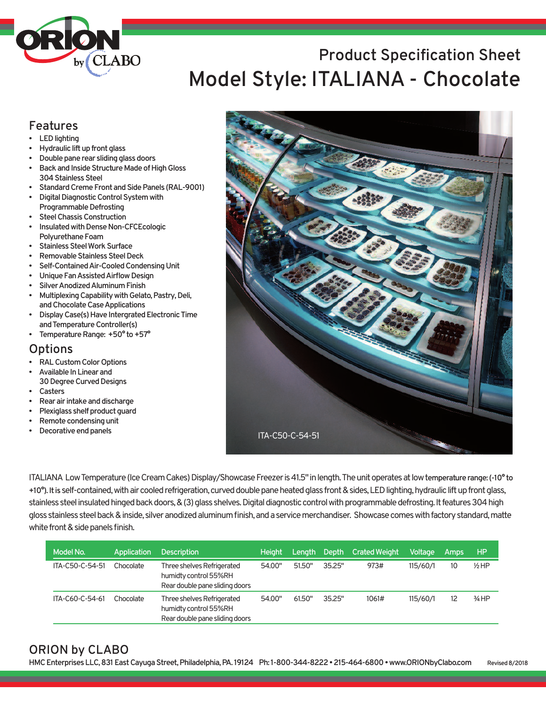

# **Product Specification Sheet Model Style: ITALIANA - Chocolate**

### **Features**

- **LEDlighting**
- **Hydraulic** lift up front glass
- **Doublepanerear slidingglassdoors**
- **Back and Inside Structure Made of High Gloss 304StainlessSteel**
- **Standard Creme Front and Side Panels (RAL-9001)**
- **Digital Diagnostic Control System with Programmable Defrosting**
- **SteelChassisConstruction**
- **Insulated with Dense Non-CFCEcologic Polyurethane Foam**
- **StainlessSteelWorkSurface**
- **Removable Stainless Steel Deck**
- **Self-ContainedAir-CooledCondensingUnit**
- **UniqueFanAssistedAirflowDesign**
- **Silver Anodized Aluminum Finish**
- **Multiplexing Capability with Gelato, Pastry, Deli, andChocolateCaseApplications**
- **Display Case(s) Have Intergrated Electronic Time andTemperatureController(s)**
- **Femperature Range:**  $+50^{\circ}$  **to**  $+57^{\circ}$

## **Options**

- **RALCustomColorOptions**
- **Available In Linear and**
- **30DegreeCurvedDesigns • Casters**
- **Rearair intakeanddischarge**
- **Plexiglass shelf product guard**
- **Remote condensing unit**
- **Decorative end panels**



ITALIANA Low Temperature (Ice Cream Cakes) Display/Showcase Freezer is 41.5" in length. The unit operates at low temperature range: (-10° to **+10°).Itis** self-contained,withaircooledrefrigeration,curveddoublepaneheatedglassfront&sides,LEDlighting,hydraulicliftupfrontglass, stainless steel insulated hinged back doors, & (3) glass shelves. Digital diagnostic control with programmable defrosting. It features 304 high gloss stainless steel back & inside, silver anodized aluminum finish, and a service merchandiser. Showcase comes with factory standard, matte white front & side panels finish.

| Model No.       | Application | <b>Description</b>                                                                    | <b>Height</b> | Lenath | Depth  | <b>Crated Weight</b> | <b>Voltage</b> | Amps | HP.      |
|-----------------|-------------|---------------------------------------------------------------------------------------|---------------|--------|--------|----------------------|----------------|------|----------|
| ITA-C50-C-54-51 | Chocolate   | Three shelves Refrigerated<br>humidty control 55%RH<br>Rear double pane sliding doors | 54.00"        | 51.50" | 35.25" | 973#                 | 115/60/1       | 10   | $1/2$ HP |
| ITA-C60-C-54-61 | Chocolate   | Three shelves Refrigerated<br>humidty control 55%RH<br>Rear double pane sliding doors | 54.00"        | 61.50" | 35.25" | 1061#                | 115/60/1       |      | $3/4$ HP |

### **ORION by CLABO**

**HMCEnterprisesLLC,831EastCayugaStreet,Philadelphia,PA. 19124 Ph: 1-800-344-8222•215-464-6800•www.ORIONbyClabo.com Revised8/2018**